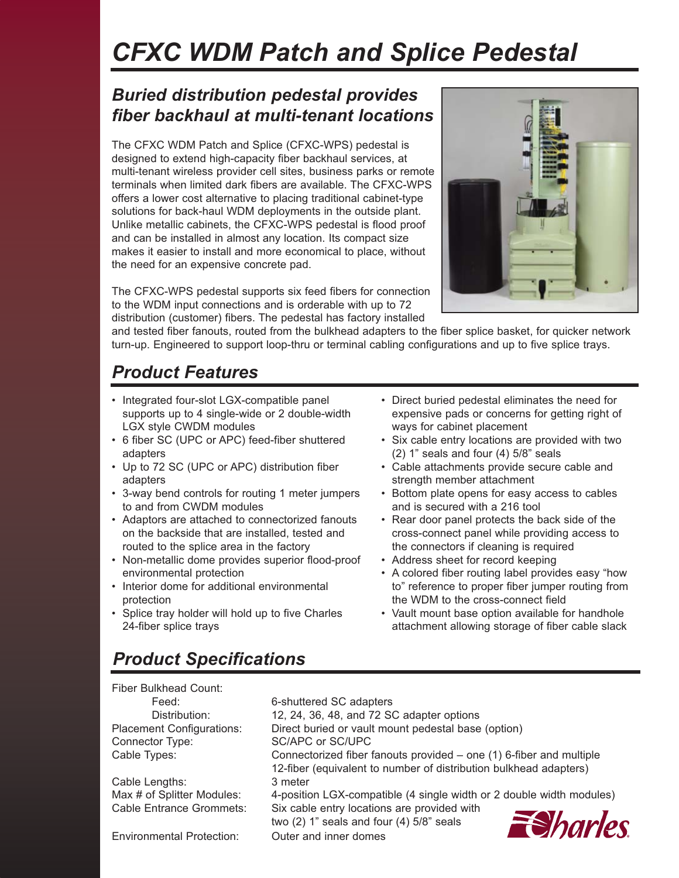# *CFXC WDM Patch and Splice Pedestal*

### *Buried distribution pedestal provides fiber backhaul at multi-tenant locations*

The CFXC WDM Patch and Splice (CFXC-WPS) pedestal is designed to extend high-capacity fiber backhaul services, at multi-tenant wireless provider cell sites, business parks or remote terminals when limited dark fibers are available. The CFXC-WPS offers a lower cost alternative to placing traditional cabinet-type solutions for back-haul WDM deployments in the outside plant. Unlike metallic cabinets, the CFXC-WPS pedestal is flood proof and can be installed in almost any location. Its compact size makes it easier to install and more economical to place, without the need for an expensive concrete pad.

The CFXC-WPS pedestal supports six feed fibers for connection to the WDM input connections and is orderable with up to 72 distribution (customer) fibers. The pedestal has factory installed



and tested fiber fanouts, routed from the bulkhead adapters to the fiber splice basket, for quicker network turn-up. Engineered to support loop-thru or terminal cabling configurations and up to five splice trays.

# *Product Features*

- Integrated four-slot LGX-compatible panel supports up to 4 single-wide or 2 double-width LGX style CWDM modules
- 6 fiber SC (UPC or APC) feed-fiber shuttered adapters
- Up to 72 SC (UPC or APC) distribution fiber adapters
- 3-way bend controls for routing 1 meter jumpers to and from CWDM modules
- Adaptors are attached to connectorized fanouts on the backside that are installed, tested and routed to the splice area in the factory
- Non-metallic dome provides superior flood-proof environmental protection
- Interior dome for additional environmental protection
- Splice tray holder will hold up to five Charles 24-fiber splice trays
- Direct buried pedestal eliminates the need for expensive pads or concerns for getting right of ways for cabinet placement
- Six cable entry locations are provided with two (2) 1" seals and four (4) 5/8" seals
- Cable attachments provide secure cable and strength member attachment
- Bottom plate opens for easy access to cables and is secured with a 216 tool
- Rear door panel protects the back side of the cross-connect panel while providing access to the connectors if cleaning is required
- Address sheet for record keeping
- A colored fiber routing label provides easy "how to" reference to proper fiber jumper routing from the WDM to the cross-connect field
- Vault mount base option available for handhole attachment allowing storage of fiber cable slack

### *Product Specifications*

Fiber Bulkhead Count:

Connector Type: SC/APC or SC/UPC

Cable Lengths: 3 meter

Environmental Protection: Outer and inner domes

Feed: 6-shuttered SC adapters Distribution: 12, 24, 36, 48, and 72 SC adapter options Placement Configurations: Direct buried or vault mount pedestal base (option) Cable Types: Connectorized fiber fanouts provided – one (1) 6-fiber and multiple 12-fiber (equivalent to number of distribution bulkhead adapters) Max # of Splitter Modules: 4-position LGX-compatible (4 single width or 2 double width modules) Cable Entrance Grommets: Six cable entry locations are provided with **E**Sharles two (2) 1" seals and four (4) 5/8" seals